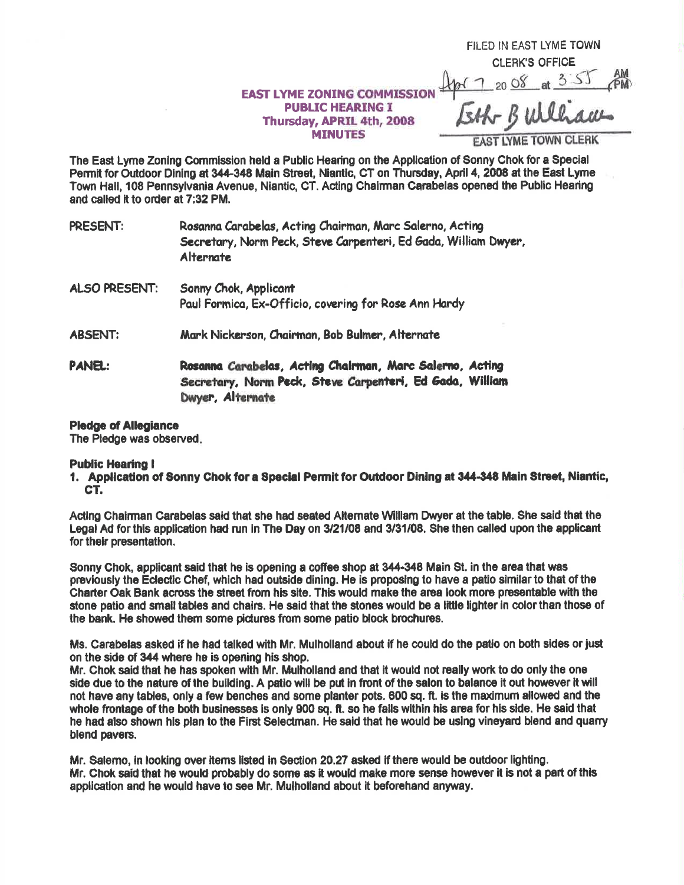## **EAST LYME ZONING COMMISSION PUBLIC HEARING I** Thursday, APRIL 4th, 2008 **MINUTES**

FILED IN EAST LYME TOWN **CLERK'S OFFICE** 

<u>or 7 20 08 at 3:55</u>

**EAST LYME TOWN CLERK** 

The East Lyme Zoning Commission held a Public Hearing on the Application of Sonny Chok for a Special Permit for Outdoor Dining at 344-348 Main Street, Niantic, CT on Thursday, April 4, 2008 at the East Lyme Town Hall, 108 Pennsylvania Avenue, Niantic, CT. Acting Chairman Carabelas opened the Public Hearing and called it to order at 7:32 PM.

| <b>PRESENT:</b> | Rosanna Carabelas, Acting Chairman, Marc Salerno, Acting<br>Secretary, Norm Peck, Steve Carpenteri, Ed Gada, William Dwyer<br>Alternate  |
|-----------------|------------------------------------------------------------------------------------------------------------------------------------------|
| ALSO PRESENT:   | Sonny Chok, Applicant                                                                                                                    |
|                 | Paul Formica, Ex-Officio, covering for Rose Ann Hardy                                                                                    |
| <b>ABSENT:</b>  | Mark Nickerson, Chairman, Bob Bulmer, Alternate                                                                                          |
| PANEL:          | Rosanna Carabelas, Acting Chairman, Marc Salerno, Acting<br>Secretary, Norm Peck, Steve Carpenteri, Ed Gada, William<br>Dwyer, Alternate |

## **Pledge of Allegiance**

The Pledge was observed.

## **Public Hearing I**

1. Application of Sonny Chok for a Special Permit for Outdoor Dining at 344-348 Main Street, Niantic, CT.

Acting Chairman Carabelas said that she had seated Alternate William Dwyer at the table. She said that the Legal Ad for this application had run in The Day on 3/21/08 and 3/31/08. She then called upon the applicant for their presentation.

Sonny Chok, applicant said that he is opening a coffee shop at 344-348 Main St. in the area that was previously the Eclectic Chef, which had outside dining. He is proposing to have a patio similar to that of the Charter Oak Bank across the street from his site. This would make the area look more presentable with the stone patio and small tables and chairs. He said that the stones would be a little lighter in color than those of the bank. He showed them some pictures from some patio block brochures.

Ms. Carabelas asked if he had talked with Mr. Mulholland about if he could do the patio on both sides or just on the side of 344 where he is opening his shop.

Mr. Chok said that he has spoken with Mr. Mulholland and that it would not really work to do only the one side due to the nature of the building. A patio will be put in front of the salon to balance it out however it will not have any tables, only a few benches and some planter pots. 600 sq. ft. is the maximum allowed and the whole frontage of the both businesses is only 900 sq. ft, so he falls within his area for his side. He said that he had also shown his plan to the First Selectman. He said that he would be using vineyard blend and quarry blend payers.

Mr. Salemo, in looking over items listed in Section 20.27 asked if there would be outdoor lighting. Mr. Chok said that he would probably do some as it would make more sense however it is not a part of this application and he would have to see Mr. Mulholland about it beforehand anyway.